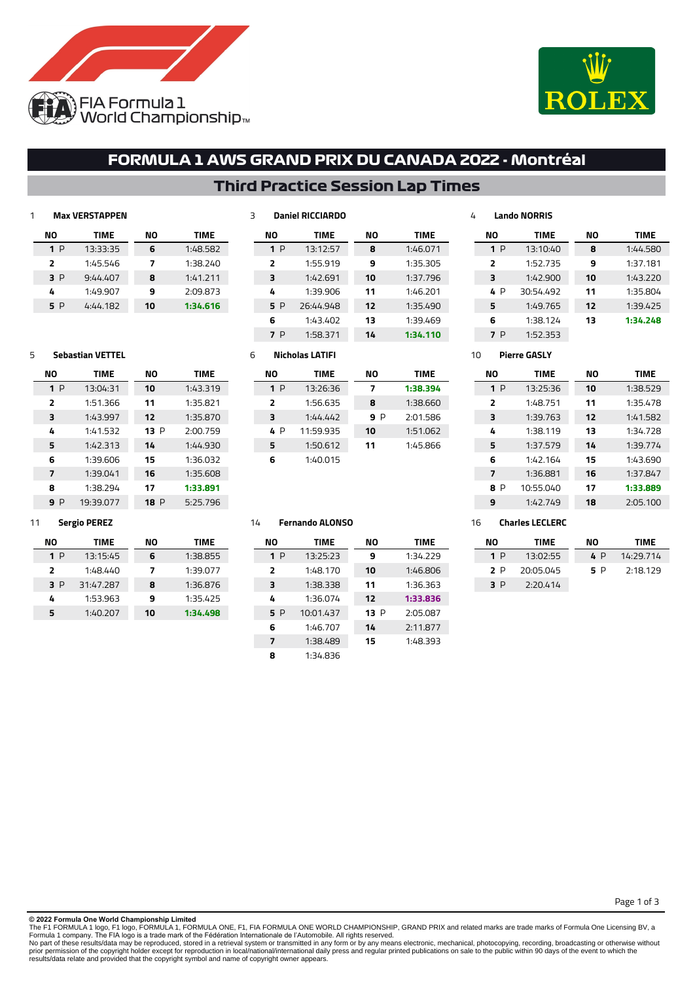



**NO TIME** 1:44.580 1:37.181 1:43.220 1:35.804 1:39.425 **1:34.248**

## **FORMULA 1 AWS GRAND PRIX DU CANADA 2022 - Montréal**

## **Third Practice Session Lap Times**

### **Max VERSTAPPEN**

**Sebastian VETTEL**

**NO TIME** P 13:04:31 1:51.366 1:43.997 1:41.532 1:42.313 1:39.606 1:39.041 1:38.294 P 19:39.077

| NO  | TIME     | NO | TIME     |
|-----|----------|----|----------|
| 1 P | 13:33:35 | 6  | 1:48.582 |
| Σ,  | 1:45.546 | 7  | 1:38.240 |
| 3 P | 9:44.407 | 8  | 1:41.211 |
| 4   | 1:49.907 | 9  | 2:09.873 |
| 5 P | 4:44.182 | 10 | 1:34.616 |

**NO TIME** 1:43.319 1:35.821 1:35.870 P 2:00.759 1:44.930 1:36.032 1:35.608 **1:33.891** P 5:25.796

|                          | <b>Daniel RICCIARDO</b> |    |             |
|--------------------------|-------------------------|----|-------------|
| NΟ                       | <b>TIME</b>             | NΟ | <b>TIME</b> |
| 1 P                      | 13:12:57                | 8  | 1:46.071    |
| $\overline{\phantom{a}}$ | 1:55.919                | 9  | 1:35.305    |
| з                        | 1:42.691                | 10 | 1:37.796    |
| 4                        | 1:39.906                | 11 | 1:46.201    |
| 5 P                      | 26:44.948               | 12 | 1:35.490    |
| 6                        | 1:43.402                | 13 | 1:39.469    |
| P                        | 1:58.371                | 14 | 1:34.110    |

# **Pierre GASLY**

**Lando NORRIS**

**NO TIME** P 13:10:40 1:52.735 1:42.900 P 30:54.492 1:49.765 1:38.124 P 1:52.353

| <b>TIME</b> | NΟ | <b>TIME</b> |
|-------------|----|-------------|
| 13:25:36    | 10 | 1:38.529    |
| 1:48.751    | 11 | 1:35.478    |
| 1:39.763    | 12 | 1:41.582    |
| 1:38.119    | 13 | 1:34.728    |
| 1:37.579    | 14 | 1:39.774    |
| 1:42.164    | 15 | 1:43.690    |
| 1:36.881    | 16 | 1:37.847    |
| 10:55.040   | 17 | 1:33.889    |
| 1:42.749    | 18 | 2:05.100    |
|             |    |             |

### **Sergio PEREZ**

| NΟ  | TIME      | NΟ | TIME     |
|-----|-----------|----|----------|
| 1P  | 13:15:45  | 6  | 1:38.855 |
| ,   | 1:48.440  | 7  | 1:39.077 |
| 3 P | 31:47.287 | 8  | 1:36.876 |
| 4   | 1:53.963  | ٩  | 1:35.425 |
|     | 1:40.207  | 10 | 1:34.498 |

### **Nicholas LATIFI**

| NΟ  | <b>TIME</b> | NΟ | TIME     |
|-----|-------------|----|----------|
| 1 P | 13:26:36    | 7  | 1:38.394 |
| 2   | 1:56.635    | 8  | 1:38.660 |
| з   | 1:44.447    | 9P | 2:01.586 |
| 4 P | 11:59.935   | 10 | 1:51.062 |
| 5   | 1:50.612    | 11 | 1:45.866 |
| 6   | 1:40.015    |    |          |

### **Fernando ALONSO**

| NΟ             | <b>TIME</b> | NΟ   | <b>TIME</b> |
|----------------|-------------|------|-------------|
| 1 P            | 13:25:23    | 9    | 1:34.229    |
| $\overline{2}$ | 1:48.170    | 10   | 1:46.806    |
| 3              | 1:38.338    | 11   | 1:36.363    |
| 4              | 1:36.074    | 12   | 1:33.836    |
| 5 P            | 10:01.437   | 13 P | 2:05.087    |
| 6              | 1:46.707    | 14   | 2:11.877    |
| 7              | 1:38.489    | 15   | 1:48.393    |
| 8              | 1:34.836    |      |             |

### **Charles LECLERC**

| NΟ | TIME      | NΟ  | TIME      |
|----|-----------|-----|-----------|
| 1P | 13:02:55  | 4 P | 14:29.714 |
| P  | 20:05.045 | 5 P | 2:18.129  |
| RР | 2:20.414  |     |           |

Page 1 of 3

#### **© 2022 Formula One World Championship Limited**

The F1 FORMULA 1 logo, F1 logo, FORMULA 1, FORMULA ONE, F1, FIA FORMULA ONE WORLD CHAMPIONSHIP, GRAND PRIX and related marks are trade marks of Formula One Licensing BV, a<br>Formula 1 company. The FIA logo is a trade mark of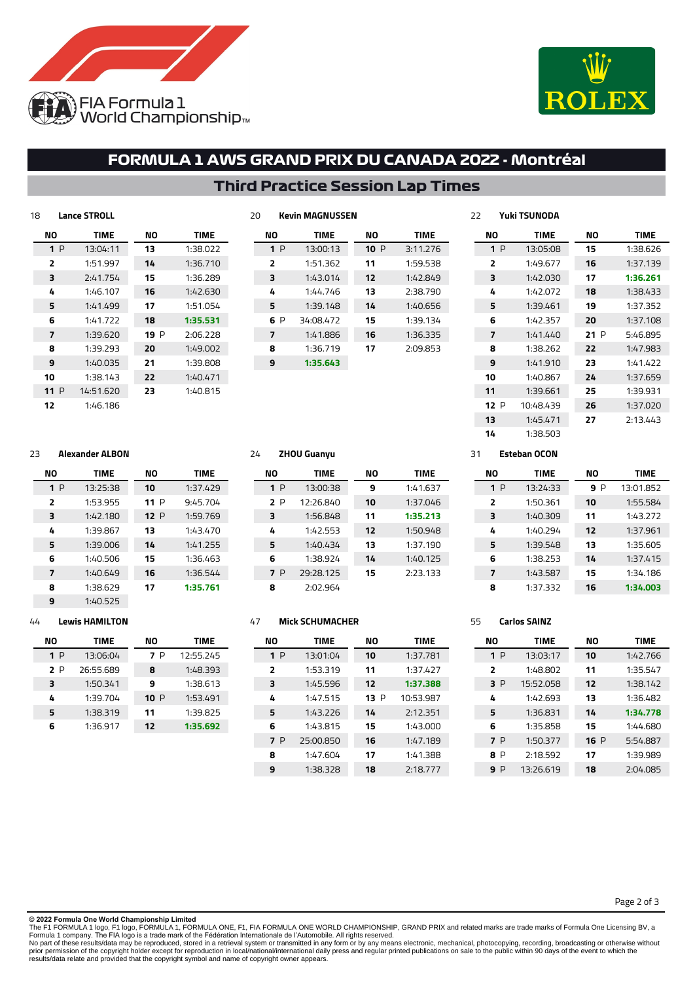



## **FORMULA 1 AWS GRAND PRIX DU CANADA 2022 - Montréal**

**Third Practice Session Lap Times**

| 18             | <b>Lance STROLL</b> |           |             |
|----------------|---------------------|-----------|-------------|
| NΟ             | <b>TIME</b>         | <b>NO</b> | <b>TIME</b> |
| 1P             | 13:04:11            | 13        | 1:38.022    |
| $\overline{2}$ | 1:51.997            | 14        | 1:36.710    |
| 3              | 2:41.754            | 15        | 1:36.289    |
| 4              | 1:46.107            | 16        | 1:42.630    |
| 5              | 1:41.499            | 17        | 1:51.054    |
| 6              | 1:41.722            | 18        | 1:35.531    |
| 7              | 1:39.620            | 19P       | 2:06.228    |
| 8              | 1:39.293            | 20        | 1:49.002    |
| 9              | 1:40.035            | 21        | 1:39.808    |
| 10             | 1:38.143            | 22        | 1:40.471    |
| <b>11</b> P    | 14:51.620           | 23        | 1:40.815    |
| 12             | 1:46.186            |           |             |
|                |                     |           |             |

| 20 | <b>Kevin MAGNUSSEN</b> |             |     |             |  |
|----|------------------------|-------------|-----|-------------|--|
|    | NΟ                     | <b>TIME</b> | NΟ  | <b>TIME</b> |  |
|    | 1P                     | 13:00:13    | 10P | 3:11.276    |  |
|    | $\overline{2}$         | 1:51.362    | 11  | 1:59.538    |  |
|    | 3                      | 1:43.014    | 12  | 1:42.849    |  |
|    | 4                      | 1:44.746    | 13  | 2:38.790    |  |
|    | 5                      | 1:39.148    | 14  | 1:40.656    |  |
|    | 6 P                    | 34:08.472   | 15  | 1:39.134    |  |
|    | 7                      | 1:41.886    | 16  | 1:36.335    |  |
|    | 8                      | 1:36.719    | 17  | 2:09.853    |  |
|    | 9                      | 1:35.643    |     |             |  |
|    |                        |             |     |             |  |

#### **Yuki TSUNODA NO TIME** 1:38.626 1:37.139 **1:36.261** 1:38.433 1:37.352 1:37.108 P 5:46.895 1:47.983 1:41.422 1:37.659 1:39.931 1:37.020 2:13.443 **NO TIME** P 13:05:08 1:49.677 1:42.030 1:42.072 1:39.461 1:42.357 1:41.440 1:38.262 1:41.910 1:40.867 1:39.661 P 10:48.439 1:45.471 1:38.503

### **Alexander ALBON**

**Lewis HAMILTON**

**NO TIME** P 13:06:04 P 26:55.689 1:50.341 1:39.704 1:38.319 1:36.917

| NΟ             | <b>TIME</b> | NΟ   | <b>TIME</b> |
|----------------|-------------|------|-------------|
| 1P             | 13:25:38    | 10   | 1:37.429    |
| $\overline{2}$ | 1:53.955    | 11 P | 9.45.704    |
| 3              | 1:42.180    | 12P  | 1:59.769    |
| 4              | 1:39.867    | 13   | 1:43.470    |
| 5              | 1:39.006    | 14   | 1:41.255    |
| 6              | 1:40.506    | 15   | 1:36.463    |
| 7              | 1:40.649    | 16   | 1:36.544    |
| 8              | 1:38.629    | 17   | 1:35.761    |
| ۹              | 1:40.525    |      |             |

**NO TIME** P 12:55.245 1:48.393 1:38.613 P 1:53.491 1:39.825 **1:35.692**

### **ZHOU Guanyu**

| NΟ  | <b>TIME</b> | NΟ | <b>TIME</b> |
|-----|-------------|----|-------------|
| 1P  | 13:00:38    | 9  | 1:41.637    |
| 2 P | 12:26.840   | 10 | 1:37.046    |
| 3   | 1:56.848    | 11 | 1:35.213    |
| 4   | 1:42.553    | 12 | 1:50.948    |
| 5   | 1:40.434    | 13 | 1:37.190    |
| 6   | 1:38.924    | 14 | 1:40.125    |
| 7 P | 29:28.125   | 15 | 2:23.133    |
| 8   | 2:02.964    |    |             |

#### **Mick SCHUMACHER**

| NΟ             | <b>TIME</b> | NΟ   | <b>TIME</b> |
|----------------|-------------|------|-------------|
| 1P             | 13:01:04    | 10   | 1:37.781    |
| $\overline{2}$ | 1:53.319    | 11   | 1:37.427    |
| 3              | 1:45.596    | 12   | 1:37.388    |
| 4              | 1:47.515    | 13 P | 10:53.987   |
| 5              | 1:43.226    | 14   | 2:12.351    |
| 6              | 1:43.815    | 15   | 1:43.000    |
| 7 P            | 25:00.850   | 16   | 1:47.189    |
| 8              | 1:47.604    | 17   | 1:41.388    |
| ۹              | 1:38.328    | 18   | 2:18.777    |

**Esteban OCON**

| NΟ             | <b>TIME</b> | NΟ     | <b>TIME</b> |  |
|----------------|-------------|--------|-------------|--|
| 1P             | 13:24:33    | P<br>9 | 13:01.852   |  |
| $\overline{2}$ | 1:50.361    | 10     | 1:55.584    |  |
| 3              | 1:40.309    | 11     | 1:43.272    |  |
| 4              | 1:40.294    | 12     | 1:37.961    |  |
| 5              | 1:39.548    | 13     | 1:35.605    |  |
| 6              | 1:38.253    | 14     | 1:37.415    |  |
| 7              | 1:43.587    | 15     | 1:34.186    |  |
| я              | 1:37.332    | 16     | 1:34.003    |  |

#### **Carlos SAINZ**

| NΟ                      | <b>TIME</b> | NΟ  | <b>TIME</b> |  |  |
|-------------------------|-------------|-----|-------------|--|--|
| 1P                      | 13:03:17    | 10  | 1:42.766    |  |  |
| $\overline{\mathbf{z}}$ | 1:48.802    | 11  | 1:35.547    |  |  |
| 3 P                     | 15:52.058   | 12  | 1:38.142    |  |  |
| 4                       | 1:42.693    | 13  | 1:36.482    |  |  |
| 5                       | 1:36.831    | 14  | 1:34.778    |  |  |
| 6                       | 1:35.858    | 15  | 1:44.680    |  |  |
| 7 P                     | 1:50.377    | 16P | 5:54.887    |  |  |
| P<br>8                  | 2:18.592    | 17  | 1:39.989    |  |  |
| P<br>۹                  | 13:26.619   | 18  | 2:04.085    |  |  |

**© 2022 Formula One World Championship Limited**

The F1 FORMULA 1 logo, F1 logo, FORMULA 1, FORMULA ONE, F1, FIA FORMULA ONE WORLD CHAMPIONSHIP, GRAND PRIX and related marks are trade marks of Formula One Licensing BV, a<br>Formula 1 company. The FIA logo is a trade mark of